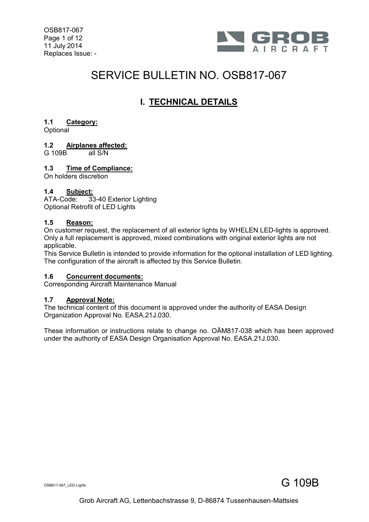OSB817-067 Page 1 of 12 11 July 2014 Replaces Issue: -



## SERVICE BULLETIN NO. OSB817-067

## **I. TECHNICAL DETAILS**

#### **1.1 Category:**

**Optional** 

# **1.2 Airplanes affected:**

 $G$  109B

#### **1.3 Time of Compliance:**

On holders discretion

#### **1.4 Subject:**

ATA-Code: 33-40 Exterior Lighting Optional Retrofit of LED Lights

#### **1.5 Reason:**

On customer request, the replacement of all exterior lights by WHELEN LED-lights is approved. Only a full replacement is approved, mixed combinations with original exterior lights are not applicable.

This Service Bulletin is intended to provide information for the optional installation of LED lighting. The configuration of the aircraft is affected by this Service Bulletin.

#### **1.6 Concurrent documents:**

Corresponding Aircraft Maintenance Manual

#### **1.7 Approval Note:**

The technical content of this document is approved under the authority of EASA Design Organization Approval No. EASA.21J.030.

These information or instructions relate to change no. OÄM817-038 which has been approved under the authority of EASA Design Organisation Approval No. EASA.21J.030.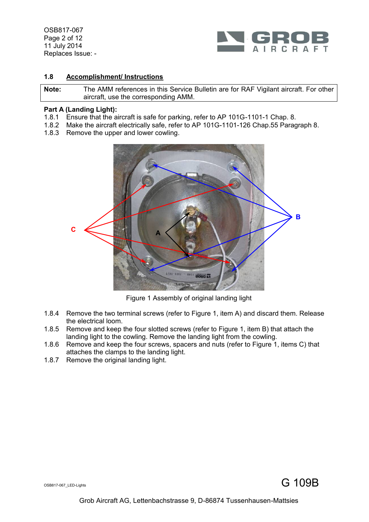OSB817-067 Page 2 of 12 11 July 2014 Replaces Issue: -



#### **1.8 Accomplishment/ Instructions**

**Note:** The AMM references in this Service Bulletin are for RAF Vigilant aircraft. For other aircraft, use the corresponding AMM.

#### **Part A (Landing Light):**

- 1.8.1 Ensure that the aircraft is safe for parking, refer to AP 101G-1101-1 Chap. 8.
- 1.8.2 Make the aircraft electrically safe, refer to AP 101G-1101-126 Chap.55 Paragraph 8.
- 1.8.3 Remove the upper and lower cowling.



Figure 1 Assembly of original landing light

- <span id="page-1-0"></span>1.8.4 Remove the two terminal screws (refer to [Figure 1,](#page-1-0) item A) and discard them. Release the electrical loom.
- <span id="page-1-2"></span>1.8.5 Remove and keep the four slotted screws (refer to [Figure 1,](#page-1-0) item B) that attach the landing light to the cowling. Remove the landing light from the cowling.
- <span id="page-1-1"></span>1.8.6 Remove and keep the four screws, spacers and nuts (refer to [Figure 1,](#page-1-0) items C) that attaches the clamps to the landing light.
- 1.8.7 Remove the original landing light.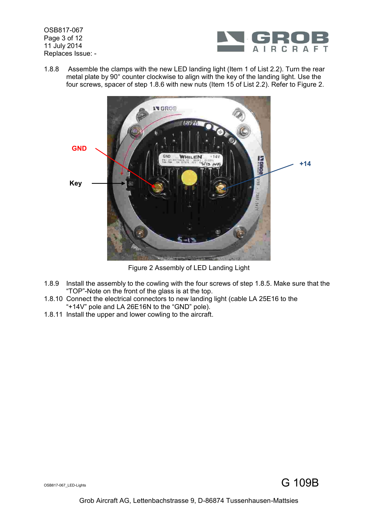OSB817-067 Page 3 of 12 11 July 2014 Replaces Issue: -



1.8.8 Assemble the clamps with the new LED landing light (Item [1](#page-9-0) of List 2.2). Turn the rear metal plate by 90° counter clockwise to align with the key of the landing light. Use the four screws, spacer of step [1.8.6](#page-1-1) with new nuts (Item [15](#page-9-1) of List 2.2). Refer to [Figure](#page-2-0) 2.



Figure 2 Assembly of LED Landing Light

- <span id="page-2-0"></span>1.8.9 Install the assembly to the cowling with the four screws of step [1.8.5.](#page-1-2) Make sure that the "TOP"-Note on the front of the glass is at the top.
- 1.8.10 Connect the electrical connectors to new landing light (cable LA 25E16 to the "+14V" pole and LA 26E16N to the "GND" pole).
- 1.8.11 Install the upper and lower cowling to the aircraft.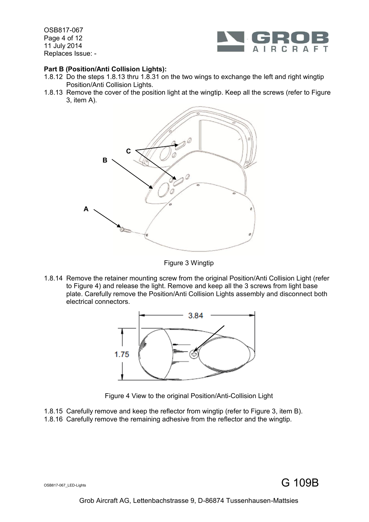OSB817-067 Page 4 of 12 11 July 2014 Replaces Issue: -



#### **Part B (Position/Anti Collision Lights):**

- 1.8.12 Do the steps [1.8.13](#page-3-0) thru [1.8.31](#page-6-0) on the two wings to exchange the left and right wingtip Position/Anti Collision Lights.
- <span id="page-3-0"></span>1.8.13 Remove the cover of the position light at the wingtip. Keep all the screws (refer to [Figure](#page-3-1)  [3,](#page-3-1) item A).



Figure 3 Wingtip

<span id="page-3-1"></span>1.8.14 Remove the retainer mounting screw from the original Position/Anti Collision Light (refer to [Figure 4\)](#page-3-2) and release the light. Remove and keep all the 3 screws from light base plate. Carefully remove the Position/Anti Collision Lights assembly and disconnect both electrical connectors.



Figure 4 View to the original Position/Anti-Collision Light

<span id="page-3-2"></span>1.8.15 Carefully remove and keep the reflector from wingtip (refer to [Figure 3,](#page-3-1) item B). 1.8.16 Carefully remove the remaining adhesive from the reflector and the wingtip.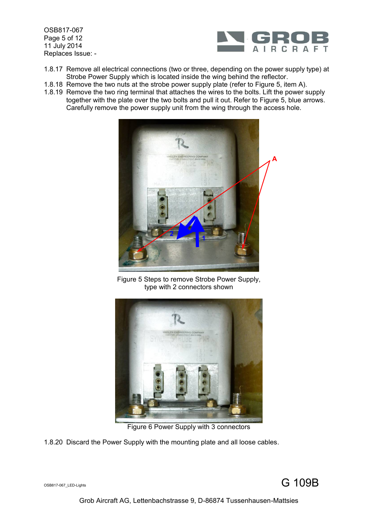OSB817-067 Page 5 of 12 11 July 2014 Replaces Issue: -



- 1.8.17 Remove all electrical connections (two or three, depending on the power supply type) at Strobe Power Supply which is located inside the wing behind the reflector.
- 1.8.18 Remove the two nuts at the strobe power supply plate (refer to [Figure 5,](#page-4-0) item A).
- 1.8.19 Remove the two ring terminal that attaches the wires to the bolts. Lift the power supply together with the plate over the two bolts and pull it out. Refer to [Figure 5,](#page-4-0) blue arrows. Carefully remove the power supply unit from the wing through the access hole.



Figure 5 Steps to remove Strobe Power Supply, type with 2 connectors shown

<span id="page-4-0"></span>

Figure 6 Power Supply with 3 connectors

<span id="page-4-1"></span>1.8.20 Discard the Power Supply with the mounting plate and all loose cables.

## $\mathsf{S}_{\mathsf{S}\mathsf{B}\mathsf{B}\mathsf{17}\mathsf{-067}\_\mathsf{L}\mathsf{I}\mathsf{g}\mathsf{h}\mathsf{t}\mathsf{s}}$  G  $\mathsf{109B}$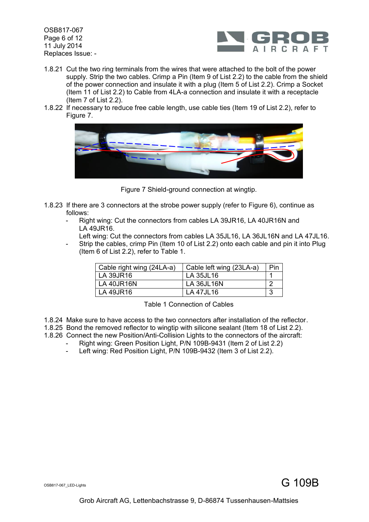OSB817-067 Page 6 of 12 11 July 2014 Replaces Issue: -



- 1.8.21 Cut the two ring terminals from the wires that were attached to the bolt of the power supply. Strip the two cables. Crimp a Pin (Item [9](#page-9-2) of List 2.2) to the cable from the shield of the power connection and insulate it with a plug (Item [5](#page-9-3) of List [2.2\)](#page-9-4). Crimp a Socket (Item [11](#page-9-5) of List [2.2\)](#page-9-4) to Cable from 4LA-a connection and insulate it with a receptacle (Item [7](#page-9-6) of List [2.2\)](#page-9-4).
- 1.8.22 If necessary to reduce free cable length, use cable ties (Item [19](#page-9-7) of List [2.2\)](#page-9-4), refer to [Figure 7.](#page-5-0)



Figure 7 Shield-ground connection at wingtip.

- <span id="page-5-0"></span>1.8.23 If there are 3 connectors at the strobe power supply (refer to [Figure 6\)](#page-4-1), continue as follows:
	- Right wing: Cut the connectors from cables LA 39JR16, LA 40JR16N and LA 49JR16.
		- Left wing: Cut the connectors from cables LA 35JL16, LA 36JL16N and LA 47JL16.
	- Strip the cables, crimp Pin (Item [10](#page-9-8) of List [2.2\)](#page-9-4) onto each cable and pin it into Plug (Item [6](#page-9-9) of List [2.2\)](#page-9-4), refer to [Table 1.](#page-5-1)

| Cable right wing (24LA-a) | Cable left wing (23LA-a) | Pin |
|---------------------------|--------------------------|-----|
| LA 39JR16                 | LA 35JL16                |     |
| <b>LA 40JR16N</b>         | <b>LA 36JL16N</b>        |     |
| LA 49JR16                 | LA 47JL16                |     |

Table 1 Connection of Cables

- <span id="page-5-1"></span>1.8.24 Make sure to have access to the two connectors after installation of the reflector.
- 1.8.25 Bond the removed reflector to wingtip with silicone sealant (Item [18](#page-9-10) of List 2.2).
- 1.8.26 Connect the new Position/Anti-Collision Lights to the connectors of the aircraft:
	- Right wing: Green Position Light, P/N 109B-9431 (Item [2](#page-9-11) of List 2.2)<br>- Left wing: Red Position Light, P/N 109B-9432 (Item 3 of List 2 2)
		- Left wing: Red Position Light, P/N 109B-94[3](#page-9-12)2 (Item 3 of List 2.2).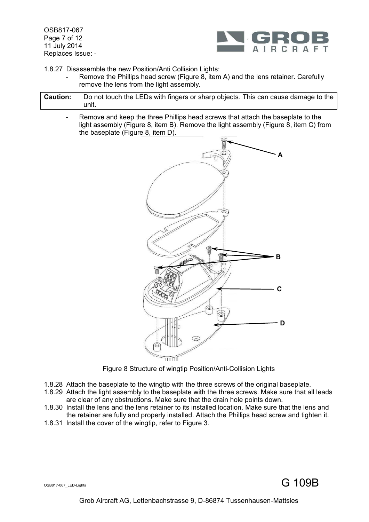OSB817-067 Page 7 of 12 11 July 2014 Replaces Issue: -



1.8.27 Disassemble the new Position/Anti Collision Lights:

- Remove the Phillips head screw [\(Figure 8,](#page-6-1) item A) and the lens retainer. Carefully remove the lens from the light assembly.
- **Caution:** Do not touch the LEDs with fingers or sharp objects. This can cause damage to the unit.
	- Remove and keep the three Phillips head screws that attach the baseplate to the light assembly [\(Figure 8,](#page-6-1) item B). Remove the light assembly [\(Figure 8,](#page-6-1) item C) from the baseplate [\(Figure 8,](#page-6-1) item D).



Figure 8 Structure of wingtip Position/Anti-Collision Lights

- <span id="page-6-1"></span>1.8.28 Attach the baseplate to the wingtip with the three screws of the original baseplate.
- 1.8.29 Attach the light assembly to the baseplate with the three screws. Make sure that all leads are clear of any obstructions. Make sure that the drain hole points down.
- 1.8.30 Install the lens and the lens retainer to its installed location. Make sure that the lens and the retainer are fully and properly installed. Attach the Phillips head screw and tighten it.
- <span id="page-6-0"></span>1.8.31 Install the cover of the wingtip, refer to [Figure 3.](#page-3-1)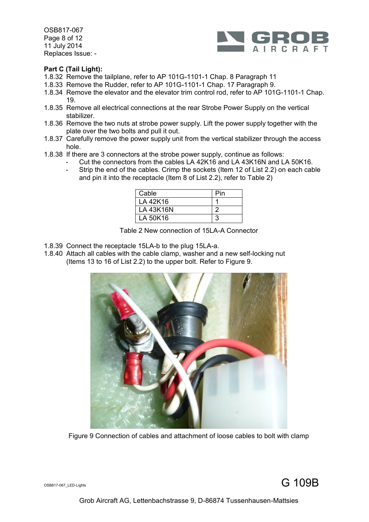OSB817-067 Page 8 of 12 11 July 2014 Replaces Issue: -



#### **Part C (Tail Light):**

- 1.8.32 Remove the tailplane, refer to AP 101G-1101-1 Chap. 8 Paragraph 11
- 1.8.33 Remove the Rudder, refer to AP 101G-1101-1 Chap. 17 Paragraph 9.
- 1.8.34 Remove the elevator and the elevator trim control rod, refer to AP 101G-1101-1 Chap. 19.
- 1.8.35 Remove all electrical connections at the rear Strobe Power Supply on the vertical stabilizer.
- 1.8.36 Remove the two nuts at strobe power supply. Lift the power supply together with the plate over the two bolts and pull it out.
- 1.8.37 Carefully remove the power supply unit from the vertical stabilizer through the access hole.
- 1.8.38 If there are 3 connectors at the strobe power supply, continue as follows:
	- Cut the connectors from the cables LA 42K16 and LA 43K16N and LA 50K16.
	- Strip the end of the cables. Crimp the sockets (Item [12](#page-9-13) of List [2.2\)](#page-9-4) on each cable and pin it into the receptacle (Item [8](#page-9-14) of List [2.2\)](#page-9-4), refer to [Table 2\)](#page-7-0)

| Cable            | Pin |
|------------------|-----|
| LA 42K16         |     |
| <b>LA 43K16N</b> |     |
| LA 50K16         |     |

Table 2 New connection of 15LA-A Connector

- <span id="page-7-0"></span>1.8.39 Connect the receptacle 15LA-b to the plug 15LA-a.
- 1.8.40 Attach all cables with the cable clamp, washer and a new self-locking nut (Items [13](#page-9-15) to [16](#page-9-16) of List [2.2\)](#page-9-4) to the upper bolt. Refer to [Figure 9.](#page-7-1)



Figure 9 Connection of cables and attachment of loose cables to bolt with clamp

<span id="page-7-1"></span>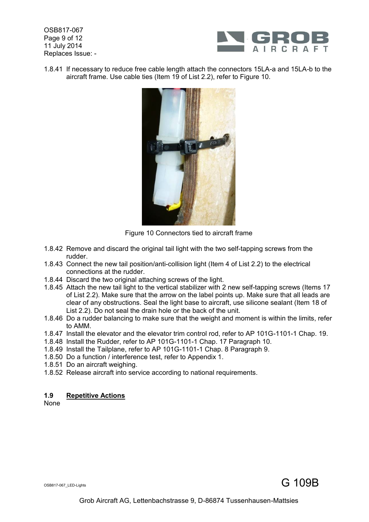OSB817-067 Page 9 of 12 11 July 2014 Replaces Issue: -



1.8.41 If necessary to reduce free cable length attach the connectors 15LA-a and 15LA-b to the aircraft frame. Use cable ties (Item [19](#page-9-7) of List [2.2\)](#page-9-4), refer to [Figure 10.](#page-8-0)



Figure 10 Connectors tied to aircraft frame

- <span id="page-8-0"></span>1.8.42 Remove and discard the original tail light with the two self-tapping screws from the rudder.
- 1.8.43 Connect the new tail position/anti-collision light (Item [4](#page-9-17) of List [2.2\)](#page-9-4) to the electrical connections at the rudder.
- 1.8.44 Discard the two original attaching screws of the light.
- 1.8.45 Attach the new tail light to the vertical stabilizer with 2 new self-tapping screws (Items [17](#page-9-18) of List [2.2\)](#page-9-4). Make sure that the arrow on the label points up. Make sure that all leads are clear of any obstructions. Seal the light base to aircraft, use silicone sealant (Item [18](#page-9-10) of List 2.2). Do not seal the drain hole or the back of the unit.
- 1.8.46 Do a rudder balancing to make sure that the weight and moment is within the limits, refer to AMM.
- 1.8.47 Install the elevator and the elevator trim control rod, refer to AP 101G-1101-1 Chap. 19.
- 1.8.48 Install the Rudder, refer to AP 101G-1101-1 Chap. 17 Paragraph 10.
- 1.8.49 Install the Tailplane, refer to AP 101G-1101-1 Chap. 8 Paragraph 9.
- 1.8.50 Do a function / interference test, refer to Appendix 1.
- 1.8.51 Do an aircraft weighing.
- 1.8.52 Release aircraft into service according to national requirements.

#### **1.9 Repetitive Actions**

None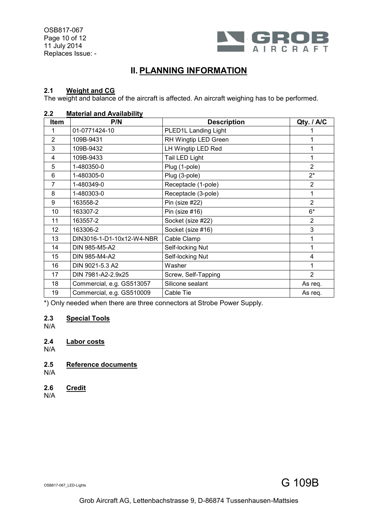OSB817-067 Page 10 of 12 11 July 2014 Replaces Issue: -



## **II. PLANNING INFORMATION**

#### **2.1 Weight and CG**

The weight and balance of the aircraft is affected. An aircraft weighing has to be performed.

#### <span id="page-9-4"></span>**2.2 Material and Availability**

<span id="page-9-17"></span><span id="page-9-14"></span><span id="page-9-12"></span><span id="page-9-11"></span><span id="page-9-9"></span><span id="page-9-8"></span><span id="page-9-6"></span><span id="page-9-3"></span><span id="page-9-2"></span><span id="page-9-0"></span>

| Item           | P/N                       | <b>Description</b>   | Qty. / A/C     |
|----------------|---------------------------|----------------------|----------------|
|                | 01-0771424-10             | PLED1L Landing Light |                |
| $\overline{2}$ | 109B-9431                 | RH Wingtip LED Green |                |
| 3              | 109B-9432                 | LH Wingtip LED Red   |                |
| 4              | 109B-9433                 | Tail LED Light       | 1              |
| 5              | 1-480350-0                | Plug (1-pole)        | $\overline{2}$ |
| 6              | 1-480305-0                | Plug (3-pole)        | $2^*$          |
| $\overline{7}$ | 1-480349-0                | Receptacle (1-pole)  | $\overline{2}$ |
| 8              | 1-480303-0                | Receptacle (3-pole)  | 1              |
| 9              | 163558-2                  | Pin (size #22)       | $\overline{2}$ |
| 10             | 163307-2                  | Pin (size #16)       | 6*             |
| 11             | 163557-2                  | Socket (size #22)    | $\overline{2}$ |
| 12             | 163306-2                  | Socket (size #16)    | 3              |
| 13             | DIN3016-1-D1-10x12-W4-NBR | Cable Clamp          | 1              |
| 14             | DIN 985-M5-A2             | Self-locking Nut     | 1              |
| 15             | DIN 985-M4-A2             | Self-locking Nut     | 4              |
| 16             | DIN 9021-5.3 A2           | Washer               | 1              |
| 17             | DIN 7981-A2-2.9x25        | Screw, Self-Tapping  | $\overline{2}$ |
| 18             | Commercial, e.g. GS513057 | Silicone sealant     | As req.        |
| 19             | Commercial, e.g. GS510009 | Cable Tie            | As req.        |

<span id="page-9-18"></span><span id="page-9-16"></span><span id="page-9-15"></span><span id="page-9-13"></span><span id="page-9-10"></span><span id="page-9-7"></span><span id="page-9-5"></span><span id="page-9-1"></span>\*) Only needed when there are three connectors at Strobe Power Supply.

#### **2.3 Special Tools**

N/A

**2.4 Labor costs**

N/A

**2.5 Reference documents**

N/A

- **2.6 Credit**
- N/A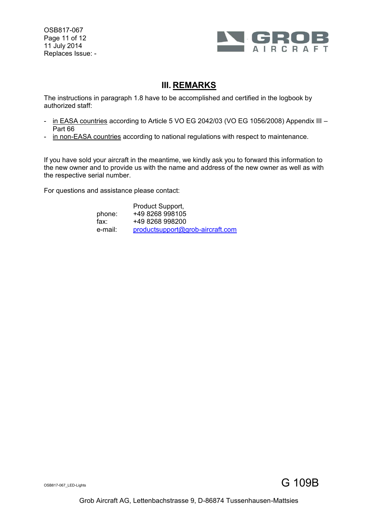OSB817-067 Page 11 of 12 11 July 2014 Replaces Issue: -



### **III. REMARKS**

The instructions in paragraph 1.8 have to be accomplished and certified in the logbook by authorized staff:

- in EASA countries according to Article 5 VO EG 2042/03 (VO EG 1056/2008) Appendix III -Part 66
- in non-EASA countries according to national regulations with respect to maintenance.

If you have sold your aircraft in the meantime, we kindly ask you to forward this information to the new owner and to provide us with the name and address of the new owner as well as with the respective serial number.

For questions and assistance please contact:

|         | Product Support,                 |
|---------|----------------------------------|
| phone:  | +49 8268 998105                  |
| fax:    | +49 8268 998200                  |
| e-mail: | productsupport@grob-aircraft.com |